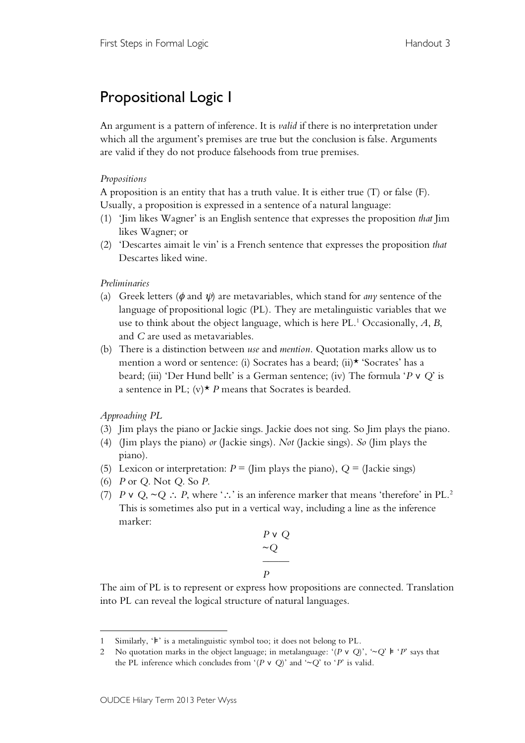## Propositional Logic I

An argument is a pattern of inference. It is *valid* if there is no interpretation under which all the argument's premises are true but the conclusion is false. Arguments are valid if they do not produce falsehoods from true premises.

## *Propositions*

A proposition is an entity that has a truth value. It is either true (T) or false (F). Usually, a proposition is expressed in a sentence of a natural language:

- (1) 'Jim likes Wagner' is an English sentence that expresses the proposition *that* Jim likes Wagner; or
- (2) 'Descartes aimait le vin' is a French sentence that expresses the proposition *that* Descartes liked wine.

## *Preliminaries*

- (a) Greek letters ( $\phi$  and  $\psi$ ) are metavariables, which stand for *any* sentence of the language of propositional logic (PL). They are metalinguistic variables that we use to think about the object language, which is here PL. <sup>1</sup> Occasionally, *A*, *B*, and *C* are used as metavariables.
- (b) There is a distinction between *use* and *mention*. Quotation marks allow us to mention a word or sentence: (i) Socrates has a beard; (ii)\* 'Socrates' has a beard; (iii) 'Der Hund bellt' is a German sentence; (iv) The formula '*P* ∨ *Q*' is a sentence in PL;  $(v)$ <sup>\*</sup> *P* means that Socrates is bearded.

*Approaching PL*

- (3) Jim plays the piano or Jackie sings. Jackie does not sing. So Jim plays the piano.
- (4) (Jim plays the piano) *or* (Jackie sings). *Not* (Jackie sings). *So* (Jim plays the piano).
- (5) Lexicon or interpretation:  $P =$  (Jim plays the piano),  $Q =$  (Jackie sings)
- (6) *P* or *Q*. Not *Q*. So *P*.
- (7) *P* ∨ *Q*, ~*Q* ∴ *P*, where '∴' is an inference marker that means 'therefore' in PL. 2 This is sometimes also put in a vertical way, including a line as the inference marker:

$$
\begin{array}{c}\nP \lor Q \\
\sim Q \\
\hline\nP\n\end{array}
$$

The aim of PL is to represent or express how propositions are connected. Translation into PL can reveal the logical structure of natural languages.

 $\overline{a}$ 1 Similarly, '⊧' is a metalinguistic symbol too; it does not belong to PL.

<sup>2</sup> No quotation marks in the object language; in metalanguage: '(*P* ∨ *Q*)', '~*Q*' ⊧ '*P*' says that the PL inference which concludes from '( $P \vee Q$ )' and '~ $Q'$  to ' $P'$  is valid.